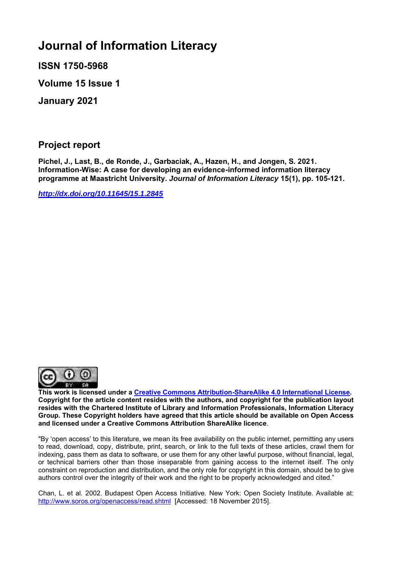# **Journal of Information Literacy**

**ISSN 1750-5968**

**Volume 15 Issue 1**

**January 2021**

**Project report**

**Pichel, J., Last, B., de Ronde, J., Garbaciak, A., Hazen, H., and Jongen, S. 2021. Information-Wise: A case for developing an evidence-informed information literacy programme at Maastricht University.** *Journal of Information Literacy* **15(1), pp. 105-121.**

*<http://dx.doi.org/10.11645/15.1.2845>*



**This work is licensed under a [Creative Commons Attribution-ShareAlike 4.0 International License.](http://creativecommons.org/licenses/by-sa/4.0/) Copyright for the article content resides with the authors, and copyright for the publication layout resides with the Chartered Institute of Library and Information Professionals, Information Literacy Group. These Copyright holders have agreed that this article should be available on Open Access and licensed under a Creative Commons Attribution ShareAlike licence**.

"By 'open access' to this literature, we mean its free availability on the public internet, permitting any users to read, download, copy, distribute, print, search, or link to the full texts of these articles, crawl them for indexing, pass them as data to software, or use them for any other lawful purpose, without financial, legal, or technical barriers other than those inseparable from gaining access to the internet itself. The only constraint on reproduction and distribution, and the only role for copyright in this domain, should be to give authors control over the integrity of their work and the right to be properly acknowledged and cited."

Chan, L. et al. 2002. Budapest Open Access Initiative. New York: Open Society Institute. Available at: <http://www.soros.org/openaccess/read.shtml> [Accessed: 18 November 2015].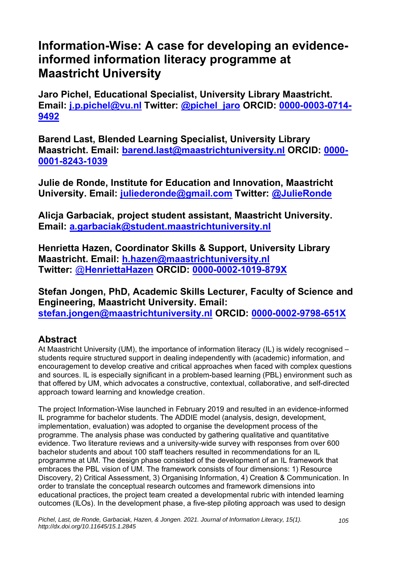# **Information-Wise: A case for developing an evidenceinformed information literacy programme at Maastricht University**

**Jaro Pichel, Educational Specialist, University Library Maastricht. Email: [j.p.pichel@vu.nl](mailto:j.p.pichel@vu.nl) Twitter: [@pichel\\_jaro](https://twitter.com/pichel_jaro?lang=en) ORCID: 0000-0003-0714- 9492**

**Barend Last, Blended Learning Specialist, University Library Maastricht. Email: [barend.last@maastrichtuniversity.nl](mailto:barend.last@maastrichtuniversity.nl) ORCID: [0000-](https://orcid.org/0000-0001-8243-1039) [0001-8243-1039](https://orcid.org/0000-0001-8243-1039)**

**Julie de Ronde, Institute for Education and Innovation, Maastricht University. Email: [juliederonde@gmail.com](mailto:juliederonde@gmail.com) Twitter: [@JulieRonde](https://twitter.com/JulieRonde)**

**Alicja Garbaciak, project student assistant, Maastricht University. Email: [a.garbaciak@student.maastrichtuniversity.nl](mailto:a.garbaciak@student.maastrichtuniversity.nl)**

**Henrietta Hazen, Coordinator Skills & Support, University Library Maastricht. Email: [h.hazen@maastrichtuniversity.nl](mailto:h.hazen@maastrichtuniversity.nl) Twitter:** @**[HenriettaHazen](https://twitter.com/henriettahazen?lang=en) ORCID: 0000-0002-1019-879X**

**Stefan Jongen, PhD, Academic Skills Lecturer, Faculty of Science and Engineering, Maastricht University. Email: [stefan.jongen@maastrichtuniversity.nl](mailto:stefans.jongen@maastrichtuniversity.nl) ORCID: 0000-0002-9798-651X** 

## **Abstract**

At Maastricht University (UM), the importance of information literacy (IL) is widely recognised – students require structured support in dealing independently with (academic) information, and encouragement to develop creative and critical approaches when faced with complex questions and sources. IL is especially significant in a problem-based learning (PBL) environment such as that offered by UM, which advocates a constructive, contextual, collaborative, and self-directed approach toward learning and knowledge creation.

The project Information-Wise launched in February 2019 and resulted in an evidence-informed IL programme for bachelor students. The ADDIE model (analysis, design, development, implementation, evaluation) was adopted to organise the development process of the programme. The analysis phase was conducted by gathering qualitative and quantitative evidence. Two literature reviews and a university-wide survey with responses from over 600 bachelor students and about 100 staff teachers resulted in recommendations for an IL programme at UM. The design phase consisted of the development of an IL framework that embraces the PBL vision of UM. The framework consists of four dimensions: 1) Resource Discovery, 2) Critical Assessment, 3) Organising Information, 4) Creation & Communication. In order to translate the conceptual research outcomes and framework dimensions into educational practices, the project team created a developmental rubric with intended learning outcomes (ILOs). In the development phase, a five-step piloting approach was used to design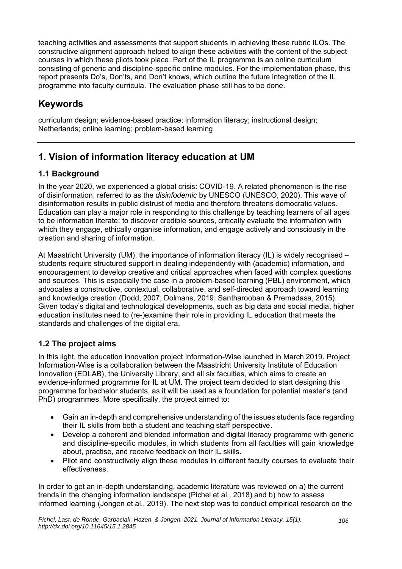teaching activities and assessments that support students in achieving these rubric ILOs. The constructive alignment approach helped to align these activities with the content of the subject courses in which these pilots took place. Part of the IL programme is an online curriculum consisting of generic and discipline-specific online modules. For the implementation phase, this report presents Do's, Don'ts, and Don't knows, which outline the future integration of the IL programme into faculty curricula. The evaluation phase still has to be done.

## **Keywords**

curriculum design; evidence-based practice; information literacy; instructional design; Netherlands; online learning; problem-based learning

## **1. Vision of information literacy education at UM**

## **1.1 Background**

In the year 2020, we experienced a global crisis: COVID-19. A related phenomenon is the rise of disinformation, referred to as the *disinfodemic* by UNESCO (UNESCO, 2020). This wave of disinformation results in public distrust of media and therefore threatens democratic values. Education can play a major role in responding to this challenge by teaching learners of all ages to be information literate: to discover credible sources, critically evaluate the information with which they engage, ethically organise information, and engage actively and consciously in the creation and sharing of information.

At Maastricht University (UM), the importance of information literacy (IL) is widely recognised – students require structured support in dealing independently with (academic) information, and encouragement to develop creative and critical approaches when faced with complex questions and sources. This is especially the case in a problem-based learning (PBL) environment, which advocates a constructive, contextual, collaborative, and self-directed approach toward learning and knowledge creation (Dodd, 2007; Dolmans, 2019; Santharooban & Premadasa, 2015). Given today's digital and technological developments, such as big data and social media, higher education institutes need to (re-)examine their role in providing IL education that meets the standards and challenges of the digital era.

## **1.2 The project aims**

In this light, the education innovation project Information-Wise launched in March 2019. Project Information-Wise is a collaboration between the Maastricht University Institute of Education Innovation (EDLAB), the University Library, and all six faculties, which aims to create an evidence-informed programme for IL at UM. The project team decided to start designing this programme for bachelor students, as it will be used as a foundation for potential master's (and PhD) programmes. More specifically, the project aimed to:

- Gain an in-depth and comprehensive understanding of the issues students face regarding their IL skills from both a student and teaching staff perspective.
- Develop a coherent and blended information and digital literacy programme with generic and discipline-specific modules, in which students from all faculties will gain knowledge about, practise, and receive feedback on their IL skills.
- Pilot and constructively align these modules in different faculty courses to evaluate their effectiveness.

In order to get an in-depth understanding, academic literature was reviewed on a) the current trends in the changing information landscape (Pichel et al., 2018) and b) how to assess informed learning (Jongen et al., 2019). The next step was to conduct empirical research on the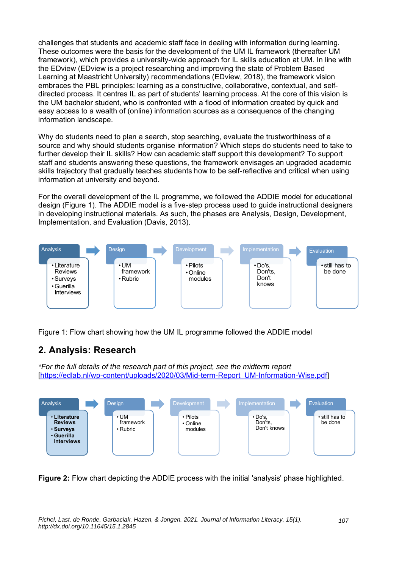challenges that students and academic staff face in dealing with information during learning. These outcomes were the basis for the development of the UM IL framework (thereafter UM framework), which provides a university-wide approach for IL skills education at UM. In line with the EDview (EDview is a project researching and improving the state of Problem Based Learning at Maastricht University) recommendations (EDview, 2018), the framework vision embraces the PBL principles: learning as a constructive, collaborative, contextual, and selfdirected process. It centres IL as part of students' learning process. At the core of this vision is the UM bachelor student, who is confronted with a flood of information created by quick and easy access to a wealth of (online) information sources as a consequence of the changing information landscape.

Why do students need to plan a search, stop searching, evaluate the trustworthiness of a source and why should students organise information? Which steps do students need to take to further develop their IL skills? How can academic staff support this development? To support staff and students answering these questions, the framework envisages an upgraded academic skills trajectory that gradually teaches students how to be self-reflective and critical when using information at university and beyond.

For the overall development of the IL programme, we followed the ADDIE model for educational design (Figure 1). The ADDIE model is a five-step process used to guide instructional designers in developing instructional materials. As such, the phases are Analysis, Design, Development, Implementation, and Evaluation (Davis, 2013).



Figure 1: Flow chart showing how the UM IL programme followed the ADDIE model

## **2. Analysis: Research**

*\*For the full details of the research part of this project, see the midterm report*  [\[https://edlab.nl/wp-content/uploads/2020/03/Mid-term-Report\\_UM-Information-Wise.pdf\]](https://edlab.nl/wp-content/uploads/2020/03/Mid-term-Report_UM-Information-Wise.pdf)



**Figure 2:** Flow chart depicting the ADDIE process with the initial 'analysis' phase highlighted.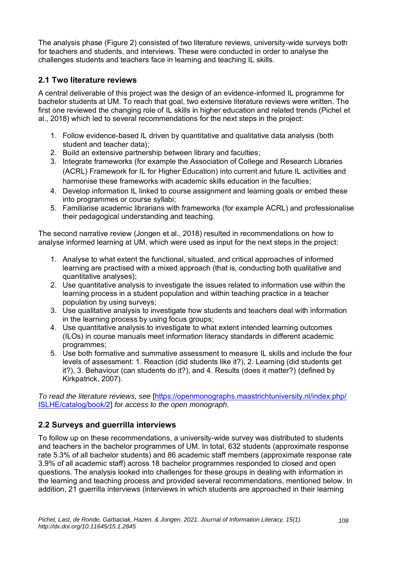The analysis phase (Figure 2) consisted of two literature reviews, university-wide surveys both for teachers and students, and interviews. These were conducted in order to analyse the challenges students and teachers face in learning and teaching IL skills.

## **2.1 Two literature reviews**

A central deliverable of this project was the design of an evidence-informed IL programme for bachelor students at UM. To reach that goal, two extensive literature reviews were written. The first one reviewed the changing role of IL skills in higher education and related trends (Pichel et al., 2018) which led to several recommendations for the next steps in the project:

- 1. Follow evidence-based IL driven by quantitative and qualitative data analysis (both student and teacher data);
- 2. Build an extensive partnership between library and faculties;
- 3. Integrate frameworks (for example the Association of College and Research Libraries (ACRL) Framework for IL for Higher Education) into current and future IL activities and harmonise these frameworks with academic skills education in the faculties;
- 4. Develop information IL linked to course assignment and learning goals or embed these into programmes or course syllabi;
- 5. Familiarise academic librarians with frameworks (for example ACRL) and professionalise their pedagogical understanding and teaching.

The second narrative review (Jongen et al., 2018) resulted in recommendations on how to analyse informed learning at UM, which were used as input for the next steps in the project:

- 1. Analyse to what extent the functional, situated, and critical approaches of informed learning are practised with a mixed approach (that is, conducting both qualitative and quantitative analyses);
- 2. Use quantitative analysis to investigate the issues related to information use within the learning process in a student population and within teaching practice in a teacher population by using surveys;
- 3. Use qualitative analysis to investigate how students and teachers deal with information in the learning process by using focus groups;
- 4. Use quantitative analysis to investigate to what extent intended learning outcomes (ILOs) in course manuals meet information literacy standards in different academic programmes;
- 5. Use both formative and summative assessment to measure IL skills and include the four levels of assessment: 1. Reaction (did students like it?), 2. Learning (did students get it?), 3. Behaviour (can students do it?), and 4. Results (does it matter?) (defined by Kirkpatrick, 2007).

*To read the literature reviews, see* [\[https://openmonographs.maastrichtuniversity.nl/index.php/](https://openmonographs.maastrichtuniversity.nl/index.php/ISLHE/catalog/book/2) [ISLHE/catalog/book/2\]](https://openmonographs.maastrichtuniversity.nl/index.php/ISLHE/catalog/book/2) *for access to the open monograph.*

## **2.2 Surveys and guerrilla interviews**

To follow up on these recommendations, a university-wide survey was distributed to students and teachers in the bachelor programmes of UM. In total, 632 students (approximate response rate 5.3% of all bachelor students) and 86 academic staff members (approximate response rate 3.9% of all academic staff) across 18 bachelor programmes responded to closed and open questions. The analysis looked into challenges for these groups in dealing with information in the learning and teaching process and provided several recommendations, mentioned below. In addition, 21 guerrilla interviews (interviews in which students are approached in their learning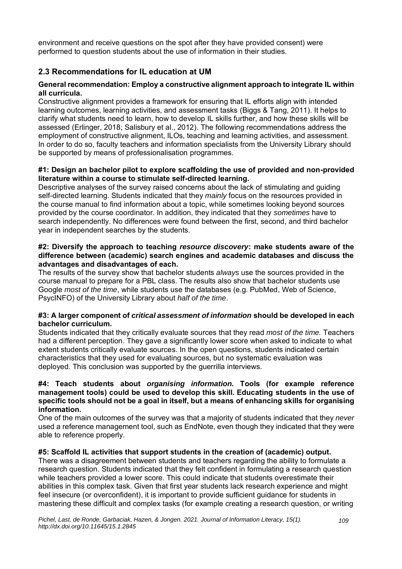environment and receive questions on the spot after they have provided consent) were performed to question students about the use of information in their studies.

## **2.3 Recommendations for IL education at UM**

#### **General recommendation: Employ a constructive alignment approach to integrate IL within all curricula.**

Constructive alignment provides a framework for ensuring that IL efforts align with intended learning outcomes, learning activities, and assessment tasks (Biggs & Tang, 2011). It helps to clarify what students need to learn, how to develop IL skills further, and how these skills will be assessed (Erlinger, 2018; Salisbury et al., 2012). The following recommendations address the employment of constructive alignment, ILOs, teaching and learning activities, and assessment. In order to do so, faculty teachers and information specialists from the University Library should be supported by means of professionalisation programmes.

#### **#1: Design an bachelor pilot to explore scaffolding the use of provided and non-provided literature within a course to stimulate self-directed learning.**

Descriptive analyses of the survey raised concerns about the lack of stimulating and guiding self-directed learning. Students indicated that they *mainly* focus on the resources provided in the course manual to find information about a topic, while sometimes looking beyond sources provided by the course coordinator. In addition, they indicated that they *sometimes* have to search independently. No differences were found between the first, second, and third bachelor year in independent searches by the students.

#### **#2: Diversify the approach to teaching** *resource discovery***: make students aware of the difference between (academic) search engines and academic databases and discuss the advantages and disadvantages of each.**

The results of the survey show that bachelor students *always* use the sources provided in the course manual to prepare for a PBL class. The results also show that bachelor students use Google *most of the time*, while students use the databases (e.g. PubMed, Web of Science, PsycINFO) of the University Library about *half of the time*.

#### **#3: A larger component of** *critical assessment of information* **should be developed in each bachelor curriculum.**

Students indicated that they critically evaluate sources that they read *most of the time.* Teachers had a different perception. They gave a significantly lower score when asked to indicate to what extent students critically evaluate sources. In the open questions, students indicated certain characteristics that they used for evaluating sources, but no systematic evaluation was deployed. This conclusion was supported by the guerrilla interviews.

#### **#4: Teach students about** *organising information.* **Tools (for example reference management tools) could be used to develop this skill. Educating students in the use of specific tools should not be a goal in itself, but a means of enhancing skills for organising information.**

One of the main outcomes of the survey was that a majority of students indicated that they *never* used a reference management tool, such as EndNote, even though they indicated that they were able to reference properly.

#### **#5: Scaffold IL activities that support students in the creation of (academic) output.**

There was a disagreement between students and teachers regarding the ability to formulate a research question. Students indicated that they felt confident in formulating a research question while teachers provided a lower score. This could indicate that students overestimate their abilities in this complex task. Given that first year students lack research experience and might feel insecure (or overconfident), it is important to provide sufficient guidance for students in mastering these difficult and complex tasks (for example creating a research question, or writing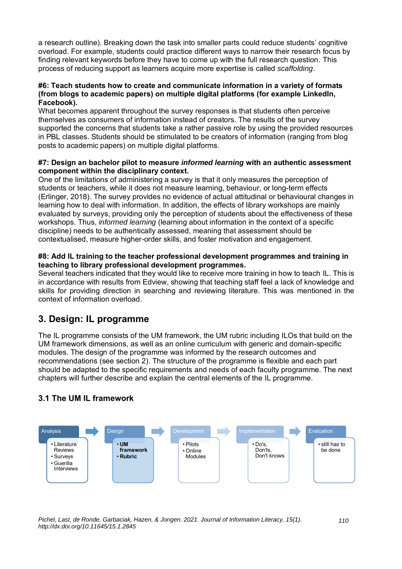a research outline). Breaking down the task into smaller parts could reduce students' cognitive overload. For example, students could practice different ways to narrow their research focus by finding relevant keywords before they have to come up with the full research question. This process of reducing support as learners acquire more expertise is called *scaffolding*.

#### **#6: Teach students how to create and communicate information in a variety of formats (from blogs to academic papers) on multiple digital platforms (for example LinkedIn, Facebook).**

What becomes apparent throughout the survey responses is that students often perceive themselves as consumers of information instead of creators. The results of the survey supported the concerns that students take a rather passive role by using the provided resources in PBL classes. Students should be stimulated to be creators of information (ranging from blog posts to academic papers) on multiple digital platforms.

#### **#7: Design an bachelor pilot to measure** *informed learning* **with an authentic assessment component within the disciplinary context.**

One of the limitations of administering a survey is that it only measures the perception of students or teachers, while it does not measure learning, behaviour, or long-term effects (Erlinger, 2018). The survey provides no evidence of actual attitudinal or behavioural changes in learning how to deal with information. In addition, the effects of library workshops are mainly evaluated by surveys, providing only the perception of students about the effectiveness of these workshops. Thus, *informed learning* (learning about information in the context of a specific discipline) needs to be authentically assessed, meaning that assessment should be contextualised, measure higher-order skills, and foster motivation and engagement.

#### **#8: Add IL training to the teacher professional development programmes and training in teaching to library professional development programmes.**

Several teachers indicated that they would like to receive more training in how to teach IL. This is in accordance with results from Edview, showing that teaching staff feel a lack of knowledge and skills for providing direction in searching and reviewing literature. This was mentioned in the context of information overload.

## **3. Design: IL programme**

The IL programme consists of the UM framework, the UM rubric including ILOs that build on the UM framework dimensions, as well as an online curriculum with generic and domain-specific modules. The design of the programme was informed by the research outcomes and recommendations (see section 2). The structure of the programme is flexible and each part should be adapted to the specific requirements and needs of each faculty programme. The next chapters will further describe and explain the central elements of the IL programme.

## **3.1 The UM IL framework**



*Pichel, Last, de Ronde, Garbaciak, Hazen, & Jongen. 2021. Journal of Information Literacy, 15(1). http://dx.doi.org/10.11645/15.1.2845*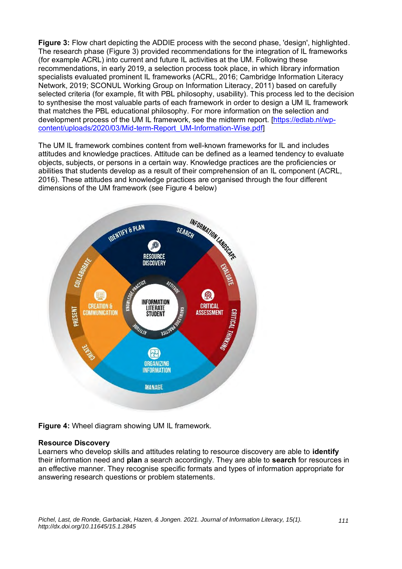**Figure 3:** Flow chart depicting the ADDIE process with the second phase, 'design', highlighted. The research phase (Figure 3) provided recommendations for the integration of IL frameworks (for example ACRL) into current and future IL activities at the UM. Following these recommendations, in early 2019, a selection process took place, in which library information specialists evaluated prominent IL frameworks (ACRL, 2016; Cambridge Information Literacy Network, 2019; SCONUL Working Group on Information Literacy, 2011) based on carefully selected criteria (for example, fit with PBL philosophy, usability). This process led to the decision to synthesise the most valuable parts of each framework in order to design a UM IL framework that matches the PBL educational philosophy. For more information on the selection and development process of the UM IL framework, see the midterm report. [\[https://edlab.nl/wp](https://edlab.nl/wp-content/uploads/2020/03/Mid-term-Report_UM-Information-Wise.pdf)[content/uploads/2020/03/Mid-term-Report\\_UM-Information-Wise.pdf\]](https://edlab.nl/wp-content/uploads/2020/03/Mid-term-Report_UM-Information-Wise.pdf)

The UM IL framework combines content from well-known frameworks for IL and includes attitudes and knowledge practices. Attitude can be defined as a learned tendency to evaluate objects, subjects, or persons in a certain way. Knowledge practices are the proficiencies or abilities that students develop as a result of their comprehension of an IL component (ACRL, 2016). These attitudes and knowledge practices are organised through the four different dimensions of the UM framework (see Figure 4 below)



**Figure 4:** Wheel diagram showing UM IL framework.

#### **Resource Discovery**

Learners who develop skills and attitudes relating to resource discovery are able to **identify** their information need and **plan** a search accordingly. They are able to **search** for resources in an effective manner. They recognise specific formats and types of information appropriate for answering research questions or problem statements.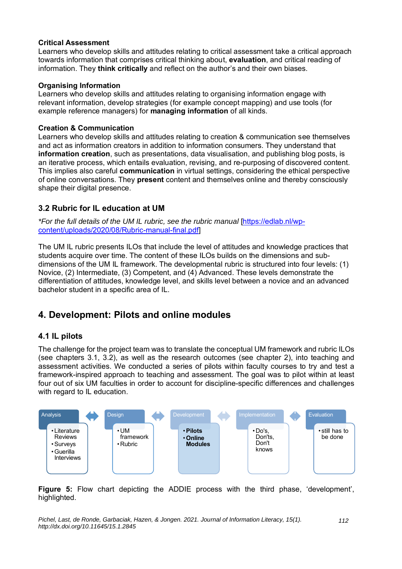#### **Critical Assessment**

Learners who develop skills and attitudes relating to critical assessment take a critical approach towards information that comprises critical thinking about, **evaluation**, and critical reading of information. They **think critically** and reflect on the author's and their own biases.

#### **Organising Information**

Learners who develop skills and attitudes relating to organising information engage with relevant information, develop strategies (for example concept mapping) and use tools (for example reference managers) for **managing information** of all kinds.

#### **Creation & Communication**

Learners who develop skills and attitudes relating to creation & communication see themselves and act as information creators in addition to information consumers. They understand that **information creation**, such as presentations, data visualisation, and publishing blog posts, is an iterative process, which entails evaluation, revising, and re-purposing of discovered content. This implies also careful **communication** in virtual settings, considering the ethical perspective of online conversations. They **present** content and themselves online and thereby consciously shape their digital presence.

#### **3.2 Rubric for IL education at UM**

*\*For the full details of the UM IL rubric, see the rubric manual* [\[https://edlab.nl/wp](https://edlab.nl/wp-content/uploads/2020/08/Rubric-manual-final.pdf)[content/uploads/2020/08/Rubric-manual-final.pdf\]](https://edlab.nl/wp-content/uploads/2020/08/Rubric-manual-final.pdf)

The UM IL rubric presents ILOs that include the level of attitudes and knowledge practices that students acquire over time. The content of these ILOs builds on the dimensions and subdimensions of the UM IL framework. The developmental rubric is structured into four levels: (1) Novice, (2) Intermediate, (3) Competent, and (4) Advanced. These levels demonstrate the differentiation of attitudes, knowledge level, and skills level between a novice and an advanced bachelor student in a specific area of IL.

## **4. Development: Pilots and online modules**

## **4.1 IL pilots**

The challenge for the project team was to translate the conceptual UM framework and rubric ILOs (see chapters 3.1, 3.2), as well as the research outcomes (see chapter 2), into teaching and assessment activities. We conducted a series of pilots within faculty courses to try and test a framework-inspired approach to teaching and assessment. The goal was to pilot within at least four out of six UM faculties in order to account for discipline-specific differences and challenges with regard to IL education.



**Figure 5:** Flow chart depicting the ADDIE process with the third phase, 'development', highlighted.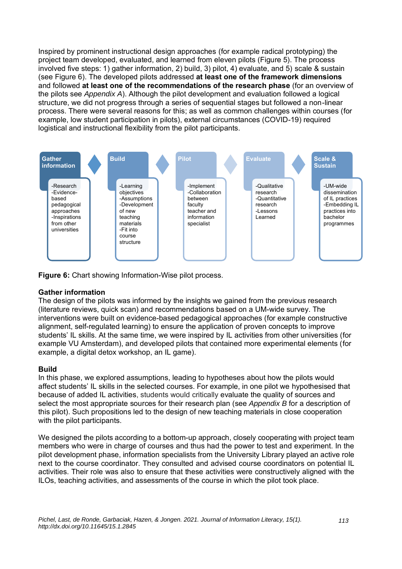Inspired by prominent instructional design approaches (for example radical prototyping) the project team developed, evaluated, and learned from eleven pilots (Figure 5). The process involved five steps: 1) gather information, 2) build, 3) pilot, 4) evaluate, and 5) scale & sustain (see Figure 6). The developed pilots addressed **at least one of the framework dimensions** and followed **at least one of the recommendations of the research phase** (for an overview of the pilots see *Appendix A*). Although the pilot development and evaluation followed a logical structure, we did not progress through a series of sequential stages but followed a non-linear process. There were several reasons for this; as well as common challenges within courses (for example, low student participation in pilots), external circumstances (COVID-19) required logistical and instructional flexibility from the pilot participants.



**Figure 6:** Chart showing Information-Wise pilot process.

#### **Gather information**

The design of the pilots was informed by the insights we gained from the previous research (literature reviews, quick scan) and recommendations based on a UM-wide survey. The interventions were built on evidence-based pedagogical approaches (for example constructive alignment, self-regulated learning) to ensure the application of proven concepts to improve students' IL skills. At the same time, we were inspired by IL activities from other universities (for example VU Amsterdam), and developed pilots that contained more experimental elements (for example, a digital detox workshop, an IL game).

#### **Build**

In this phase, we explored assumptions, leading to hypotheses about how the pilots would affect students' IL skills in the selected courses. For example, in one pilot we hypothesised that because of added IL activities, students would critically evaluate the quality of sources and select the most appropriate sources for their research plan (see *Appendix B* for a description of this pilot). Such propositions led to the design of new teaching materials in close cooperation with the pilot participants.

We designed the pilots according to a bottom-up approach, closely cooperating with project team members who were in charge of courses and thus had the power to test and experiment. In the pilot development phase, information specialists from the University Library played an active role next to the course coordinator. They consulted and advised course coordinators on potential IL activities. Their role was also to ensure that these activities were constructively aligned with the ILOs, teaching activities, and assessments of the course in which the pilot took place.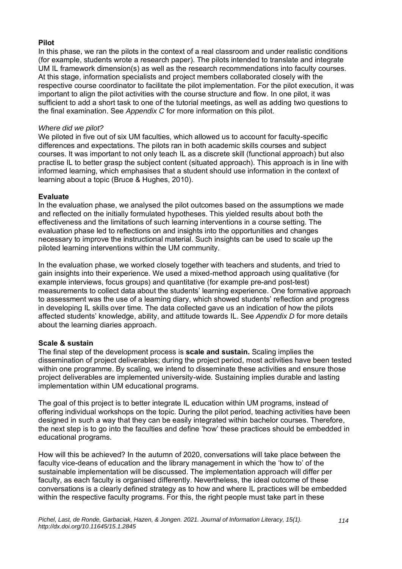#### **Pilot**

In this phase, we ran the pilots in the context of a real classroom and under realistic conditions (for example, students wrote a research paper). The pilots intended to translate and integrate UM IL framework dimension(s) as well as the research recommendations into faculty courses. At this stage, information specialists and project members collaborated closely with the respective course coordinator to facilitate the pilot implementation. For the pilot execution, it was important to align the pilot activities with the course structure and flow. In one pilot, it was sufficient to add a short task to one of the tutorial meetings, as well as adding two questions to the final examination. See *Appendix C* for more information on this pilot.

#### *Where did we pilot?*

We piloted in five out of six UM faculties, which allowed us to account for faculty-specific differences and expectations. The pilots ran in both academic skills courses and subject courses. It was important to not only teach IL as a discrete skill (functional approach) but also practise IL to better grasp the subject content (situated approach). This approach is in line with informed learning, which emphasises that a student should use information in the context of learning about a topic (Bruce & Hughes, 2010).

#### **Evaluate**

In the evaluation phase, we analysed the pilot outcomes based on the assumptions we made and reflected on the initially formulated hypotheses. This yielded results about both the effectiveness and the limitations of such learning interventions in a course setting. The evaluation phase led to reflections on and insights into the opportunities and changes necessary to improve the instructional material. Such insights can be used to scale up the piloted learning interventions within the UM community.

In the evaluation phase, we worked closely together with teachers and students, and tried to gain insights into their experience. We used a mixed-method approach using qualitative (for example interviews, focus groups) and quantitative (for example pre-and post-test) measurements to collect data about the students' learning experience. One formative approach to assessment was the use of a learning diary, which showed students' reflection and progress in developing IL skills over time. The data collected gave us an indication of how the pilots affected students' knowledge, ability, and attitude towards IL. See *Appendix D* for more details about the learning diaries approach.

#### **Scale & sustain**

The final step of the development process is **scale and sustain.** Scaling implies the dissemination of project deliverables; during the project period, most activities have been tested within one programme. By scaling, we intend to disseminate these activities and ensure those project deliverables are implemented university-wide. Sustaining implies durable and lasting implementation within UM educational programs.

The goal of this project is to better integrate IL education within UM programs, instead of offering individual workshops on the topic. During the pilot period, teaching activities have been designed in such a way that they can be easily integrated within bachelor courses. Therefore, the next step is to go into the faculties and define 'how' these practices should be embedded in educational programs.

How will this be achieved? In the autumn of 2020, conversations will take place between the faculty vice-deans of education and the library management in which the 'how to' of the sustainable implementation will be discussed. The implementation approach will differ per faculty, as each faculty is organised differently. Nevertheless, the ideal outcome of these conversations is a clearly defined strategy as to how and where IL practices will be embedded within the respective faculty programs. For this, the right people must take part in these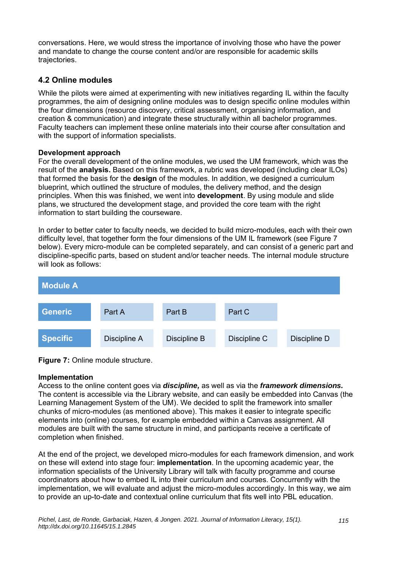conversations. Here, we would stress the importance of involving those who have the power and mandate to change the course content and/or are responsible for academic skills trajectories.

## **4.2 Online modules**

While the pilots were aimed at experimenting with new initiatives regarding IL within the faculty programmes, the aim of designing online modules was to design specific online modules within the four dimensions (resource discovery, critical assessment, organising information, and creation & communication) and integrate these structurally within all bachelor programmes. Faculty teachers can implement these online materials into their course after consultation and with the support of information specialists.

#### **Development approach**

For the overall development of the online modules, we used the UM framework, which was the result of the **analysis.** Based on this framework, a rubric was developed (including clear ILOs) that formed the basis for the **design** of the modules. In addition, we designed a curriculum blueprint, which outlined the structure of modules, the delivery method, and the design principles. When this was finished, we went into **development**. By using module and slide plans, we structured the development stage, and provided the core team with the right information to start building the courseware.

In order to better cater to faculty needs, we decided to build micro-modules, each with their own difficulty level, that together form the four dimensions of the UM IL framework (see Figure 7 below). Every micro-module can be completed separately, and can consist of a generic part and discipline-specific parts, based on student and/or teacher needs. The internal module structure will look as follows:



**Figure 7: Online module structure.** 

## **Implementation**

Access to the online content goes via *discipline,* as well as via the *framework dimensions.*  The content is accessible via the Library website, and can easily be embedded into Canvas (the Learning Management System of the UM). We decided to split the framework into smaller chunks of micro-modules (as mentioned above). This makes it easier to integrate specific elements into (online) courses, for example embedded within a Canvas assignment. All modules are built with the same structure in mind, and participants receive a certificate of completion when finished.

At the end of the project, we developed micro-modules for each framework dimension, and work on these will extend into stage four: **implementation**. In the upcoming academic year, the information specialists of the University Library will talk with faculty programme and course coordinators about how to embed IL into their curriculum and courses. Concurrently with the implementation, we will evaluate and adjust the micro-modules accordingly. In this way, we aim to provide an up-to-date and contextual online curriculum that fits well into PBL education.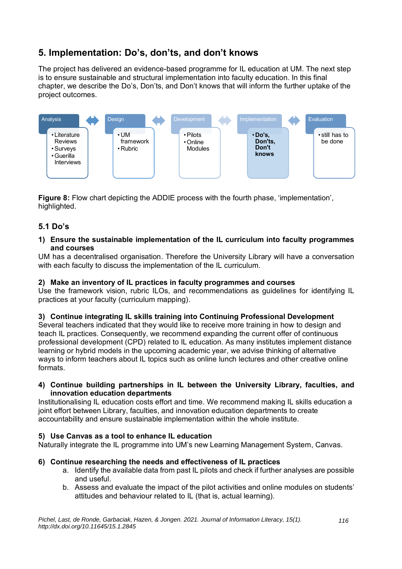## **5. Implementation: Do's, don'ts, and don't knows**

The project has delivered an evidence-based programme for IL education at UM. The next step is to ensure sustainable and structural implementation into faculty education. In this final chapter, we describe the Do's, Don'ts, and Don't knows that will inform the further uptake of the project outcomes.



**Figure 8:** Flow chart depicting the ADDIE process with the fourth phase, 'implementation', highlighted.

## **5.1 Do's**

#### **1) Ensure the sustainable implementation of the IL curriculum into faculty programmes and courses**

UM has a decentralised organisation. Therefore the University Library will have a conversation with each faculty to discuss the implementation of the IL curriculum.

#### **2) Make an inventory of IL practices in faculty programmes and courses**

Use the framework vision, rubric ILOs, and recommendations as guidelines for identifying IL practices at your faculty (curriculum mapping).

## **3) Continue integrating IL skills training into Continuing Professional Development**

Several teachers indicated that they would like to receive more training in how to design and teach IL practices. Consequently, we recommend expanding the current offer of continuous professional development (CPD) related to IL education. As many institutes implement distance learning or hybrid models in the upcoming academic year, we advise thinking of alternative ways to inform teachers about IL topics such as online lunch lectures and other creative online formats.

#### **4) Continue building partnerships in IL between the University Library, faculties, and innovation education departments**

Institutionalising IL education costs effort and time. We recommend making IL skills education a joint effort between Library, faculties, and innovation education departments to create accountability and ensure sustainable implementation within the whole institute.

#### **5) Use Canvas as a tool to enhance IL education**

Naturally integrate the IL programme into UM's new Learning Management System, Canvas.

## **6) Continue researching the needs and effectiveness of IL practices**

- a. Identify the available data from past IL pilots and check if further analyses are possible and useful.
- b. Assess and evaluate the impact of the pilot activities and online modules on students' attitudes and behaviour related to IL (that is, actual learning).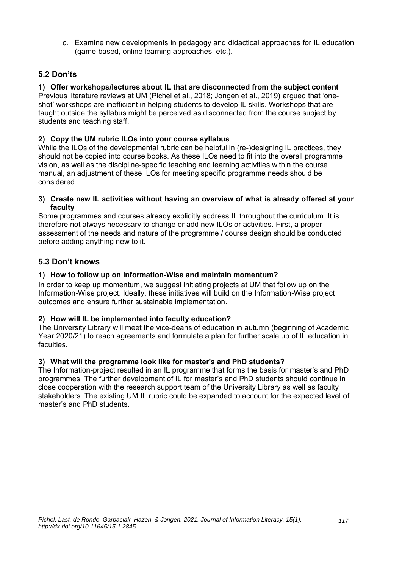c. Examine new developments in pedagogy and didactical approaches for IL education (game-based, online learning approaches, etc.).

## **5.2 Don'ts**

#### **1) Offer workshops/lectures about IL that are disconnected from the subject content** Previous literature reviews at UM (Pichel et al., 2018; Jongen et al., 2019) argued that 'oneshot' workshops are inefficient in helping students to develop IL skills. Workshops that are

taught outside the syllabus might be perceived as disconnected from the course subject by students and teaching staff.

## **2) Copy the UM rubric ILOs into your course syllabus**

While the ILOs of the developmental rubric can be helpful in (re-)designing IL practices, they should not be copied into course books. As these ILOs need to fit into the overall programme vision, as well as the discipline-specific teaching and learning activities within the course manual, an adjustment of these ILOs for meeting specific programme needs should be considered.

#### **3) Create new IL activities without having an overview of what is already offered at your faculty**

Some programmes and courses already explicitly address IL throughout the curriculum. It is therefore not always necessary to change or add new ILOs or activities. First, a proper assessment of the needs and nature of the programme / course design should be conducted before adding anything new to it.

## **5.3 Don't knows**

## **1) How to follow up on Information-Wise and maintain momentum?**

In order to keep up momentum, we suggest initiating projects at UM that follow up on the Information-Wise project. Ideally, these initiatives will build on the Information-Wise project outcomes and ensure further sustainable implementation.

## **2) How will IL be implemented into faculty education?**

The University Library will meet the vice-deans of education in autumn (beginning of Academic Year 2020/21) to reach agreements and formulate a plan for further scale up of IL education in faculties.

## **3) What will the programme look like for master's and PhD students?**

The Information-project resulted in an IL programme that forms the basis for master's and PhD programmes. The further development of IL for master's and PhD students should continue in close cooperation with the research support team of the University Library as well as faculty stakeholders. The existing UM IL rubric could be expanded to account for the expected level of master's and PhD students.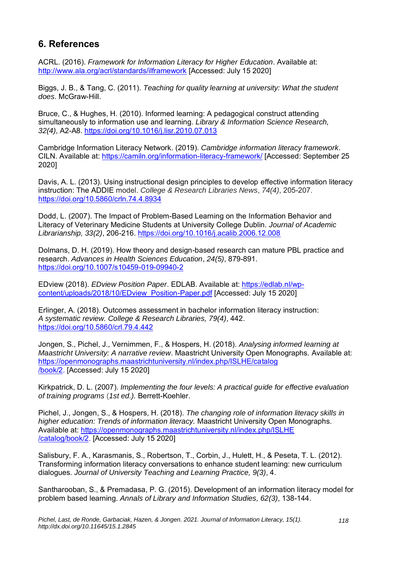## **6. References**

ACRL. (2016). *Framework for Information Literacy for Higher Education*. Available at: <http://www.ala.org/acrl/standards/ilframework> [Accessed: July 15 2020]

Biggs, J. B., & Tang, C. (2011). *Teaching for quality learning at university: What the student does*. McGraw-Hill.

Bruce, C., & Hughes, H. (2010). Informed learning: A pedagogical construct attending simultaneously to information use and learning. *Library & Information Science Research, 32(4)*, A2-A8. <https://doi.org/10.1016/j.lisr.2010.07.013>

Cambridge Information Literacy Network. (2019). *Cambridge information literacy framework*. CILN. Available at: <https://camiln.org/information-literacy-framework/> [Accessed: September 25 2020]

Davis, A. L. (2013). Using instructional design principles to develop effective information literacy instruction: The ADDIE model. *College & Research Libraries News*, *74(4)*, 205-207. <https://doi.org/10.5860/crln.74.4.8934>

Dodd, L. (2007). The Impact of Problem-Based Learning on the Information Behavior and Literacy of Veterinary Medicine Students at University College Dublin. *Journal of Academic Librarianship, 33(2)*, 206-216.<https://doi.org/10.1016/j.acalib.2006.12.008>

Dolmans, D. H. (2019). How theory and design-based research can mature PBL practice and research. *Advances in Health Sciences Education*, *24(5)*, 879-891. <https://doi.org/10.1007/s10459-019-09940-2>

EDview (2018). *EDview Position Paper*. EDLAB. Available at: [https://edlab.nl/wp](https://edlab.nl/wp-content/uploads/2018/10/EDview_Position-Paper.pdf)[content/uploads/2018/10/EDview\\_Position-Paper.pdf](https://edlab.nl/wp-content/uploads/2018/10/EDview_Position-Paper.pdf) [Accessed: July 15 2020]

Erlinger, A. (2018). Outcomes assessment in bachelor information literacy instruction: *A systematic review. College & Research Libraries, 79(4)*, 442. <https://doi.org/10.5860/crl.79.4.442>

Jongen, S., Pichel, J., Vernimmen, F., & Hospers, H. (2018). *Analysing informed learning at Maastricht University: A narrative review*. Maastricht University Open Monographs. Available at: [https://openmonographs.maastrichtuniversity.nl/index.php/ISLHE/catalog](https://openmonographs.maastrichtuniversity.nl/index.php/ISLHE/catalog/book/2) [/book/2.](https://openmonographs.maastrichtuniversity.nl/index.php/ISLHE/catalog/book/2) [Accessed: July 15 2020]

Kirkpatrick, D. L. (2007). *Implementing the four levels: A practical guide for effective evaluation of training programs* (*1st ed.).* Berrett-Koehler.

Pichel, J., Jongen, S., & Hospers, H. (2018). *The changing role of information literacy skills in higher education: Trends of information literacy.* Maastricht University Open Monographs. Available at: [https://openmonographs.maastrichtuniversity.nl/index.php/ISLHE](https://openmonographs.maastrichtuniversity.nl/index.php/ISLHE/catalog/book/2) [/catalog/book/2.](https://openmonographs.maastrichtuniversity.nl/index.php/ISLHE/catalog/book/2) [Accessed: July 15 2020]

Salisbury, F. A., Karasmanis, S., Robertson, T., Corbin, J., Hulett, H., & Peseta, T. L. (2012). Transforming information literacy conversations to enhance student learning: new curriculum dialogues. *Journal of University Teaching and Learning Practice, 9(3)*, 4.

Santharooban, S., & Premadasa, P. G. (2015). Development of an information literacy model for problem based learning. *Annals of Library and Information Studies, 62(3)*, 138-144.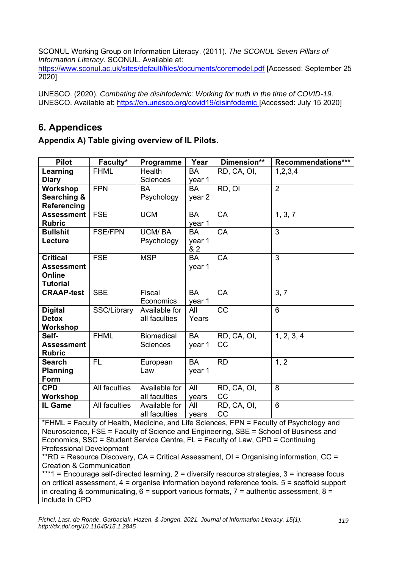SCONUL Working Group on Information Literacy. (2011). *The SCONUL Seven Pillars of Information Literacy*. SCONUL. Available at:

<https://www.sconul.ac.uk/sites/default/files/documents/coremodel.pdf> [Accessed: September 25 2020]

UNESCO. (2020). *Combating the disinfodemic: Working for truth in the time of COVID-19*. UNESCO. Available at: <https://en.unesco.org/covid19/disinfodemic> [Accessed: July 15 2020]

## **6. Appendices**

## **Appendix A) Table giving overview of IL Pilots.**

| <b>Pilot</b>                                                                            | Faculty*       | Programme         | Year      | Dimension** | Recommendations*** |
|-----------------------------------------------------------------------------------------|----------------|-------------------|-----------|-------------|--------------------|
| Learning                                                                                | <b>FHML</b>    | Health            | <b>BA</b> | RD, CA, OI, | 1,2,3,4            |
| <b>Diary</b>                                                                            |                | Sciences          | year 1    |             |                    |
| Workshop                                                                                | <b>FPN</b>     | <b>BA</b>         | BA        | RD, OI      | $\overline{2}$     |
| Searching &                                                                             |                | Psychology        | year 2    |             |                    |
| Referencing                                                                             |                |                   |           |             |                    |
| <b>Assessment</b>                                                                       | <b>FSE</b>     | <b>UCM</b>        | <b>BA</b> | CA          | 1, 3, 7            |
| <b>Rubric</b>                                                                           |                |                   | year 1    |             |                    |
| <b>Bullshit</b>                                                                         | <b>FSE/FPN</b> | <b>UCM/BA</b>     | <b>BA</b> | CA          | 3                  |
| Lecture                                                                                 |                | Psychology        | year 1    |             |                    |
|                                                                                         |                |                   | & 2       |             |                    |
| <b>Critical</b>                                                                         | <b>FSE</b>     | <b>MSP</b>        | BA        | CA          | 3                  |
| <b>Assessment</b>                                                                       |                |                   | year 1    |             |                    |
| Online                                                                                  |                |                   |           |             |                    |
| <b>Tutorial</b>                                                                         |                |                   |           |             |                    |
| <b>CRAAP-test</b>                                                                       | <b>SBE</b>     | Fiscal            | <b>BA</b> | CA          | 3, 7               |
|                                                                                         |                | Economics         | year 1    |             |                    |
| <b>Digital</b>                                                                          | SSC/Library    | Available for     | All       | CC          | $6\phantom{1}6$    |
| <b>Detox</b>                                                                            |                | all faculties     | Years     |             |                    |
| Workshop                                                                                |                |                   |           |             |                    |
| Self-                                                                                   | <b>FHML</b>    | <b>Biomedical</b> | <b>BA</b> | RD, CA, OI, | 1, 2, 3, 4         |
| <b>Assessment</b>                                                                       |                | <b>Sciences</b>   | year 1    | CC          |                    |
| <b>Rubric</b>                                                                           |                |                   |           |             |                    |
| <b>Search</b>                                                                           | <b>FL</b>      | European          | <b>BA</b> | <b>RD</b>   | 1, 2               |
| <b>Planning</b>                                                                         |                | Law               | year 1    |             |                    |
| Form                                                                                    |                |                   |           |             |                    |
| <b>CPD</b>                                                                              | All faculties  | Available for     | All       | RD, CA, OI, | 8                  |
| Workshop                                                                                |                | all faculties     | years     | CC          |                    |
| IL Game                                                                                 | All faculties  | Available for     | All       | RD, CA, OI, | 6                  |
|                                                                                         |                | all faculties     | years     | CC          |                    |
| *FHML = Faculty of Health, Medicine, and Life Sciences, FPN = Faculty of Psychology and |                |                   |           |             |                    |
| Neuroscience, FSE = Faculty of Science and Engineering, SBE = School of Business and    |                |                   |           |             |                    |

Neuroscience, FSE = Faculty of Science and Engineering, SBE = School of Business and Economics, SSC = Student Service Centre, FL = Faculty of Law, CPD = Continuing Professional Development

\*\*RD = Resource Discovery,  $CA = Critical Assessment$ ,  $OI = Organising information$ ,  $CC =$ Creation & Communication

\*\*\*1 = Encourage self-directed learning, 2 = diversify resource strategies, 3 = increase focus on critical assessment, 4 = organise information beyond reference tools, 5 = scaffold support in creating & communicating,  $\overline{6}$  = support various formats,  $\overline{7}$  = authentic assessment,  $\overline{8}$  = include in CPD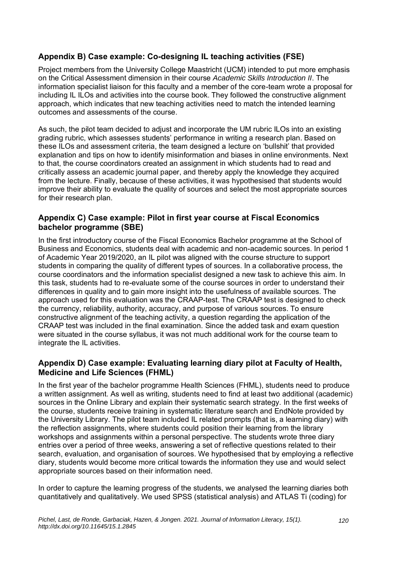## **Appendix B) Case example: Co-designing IL teaching activities (FSE)**

Project members from the University College Maastricht (UCM) intended to put more emphasis on the Critical Assessment dimension in their course *Academic Skills Introduction II*. The information specialist liaison for this faculty and a member of the core-team wrote a proposal for including IL ILOs and activities into the course book. They followed the constructive alignment approach, which indicates that new teaching activities need to match the intended learning outcomes and assessments of the course.

As such, the pilot team decided to adjust and incorporate the UM rubric ILOs into an existing grading rubric, which assesses students' performance in writing a research plan. Based on these ILOs and assessment criteria, the team designed a lecture on 'bullshit' that provided explanation and tips on how to identify misinformation and biases in online environments. Next to that, the course coordinators created an assignment in which students had to read and critically assess an academic journal paper, and thereby apply the knowledge they acquired from the lecture. Finally, because of these activities, it was hypothesised that students would improve their ability to evaluate the quality of sources and select the most appropriate sources for their research plan.

## **Appendix C) Case example: Pilot in first year course at Fiscal Economics bachelor programme (SBE)**

In the first introductory course of the Fiscal Economics Bachelor programme at the School of Business and Economics, students deal with academic and non-academic sources. In period 1 of Academic Year 2019/2020, an IL pilot was aligned with the course structure to support students in comparing the quality of different types of sources. In a collaborative process, the course coordinators and the information specialist designed a new task to achieve this aim. In this task, students had to re-evaluate some of the course sources in order to understand their differences in quality and to gain more insight into the usefulness of available sources. The approach used for this evaluation was the CRAAP-test. The CRAAP test is designed to check the currency, reliability, authority, accuracy, and purpose of various sources. To ensure constructive alignment of the teaching activity, a question regarding the application of the CRAAP test was included in the final examination. Since the added task and exam question were situated in the course syllabus, it was not much additional work for the course team to integrate the IL activities.

## **Appendix D) Case example: Evaluating learning diary pilot at Faculty of Health, Medicine and Life Sciences (FHML)**

In the first year of the bachelor programme Health Sciences (FHML), students need to produce a written assignment. As well as writing, students need to find at least two additional (academic) sources in the Online Library and explain their systematic search strategy. In the first weeks of the course, students receive training in systematic literature search and EndNote provided by the University Library. The pilot team included IL related prompts (that is, a learning diary) with the reflection assignments, where students could position their learning from the library workshops and assignments within a personal perspective. The students wrote three diary entries over a period of three weeks, answering a set of reflective questions related to their search, evaluation, and organisation of sources. We hypothesised that by employing a reflective diary, students would become more critical towards the information they use and would select appropriate sources based on their information need.

In order to capture the learning progress of the students, we analysed the learning diaries both quantitatively and qualitatively. We used SPSS (statistical analysis) and ATLAS Ti (coding) for